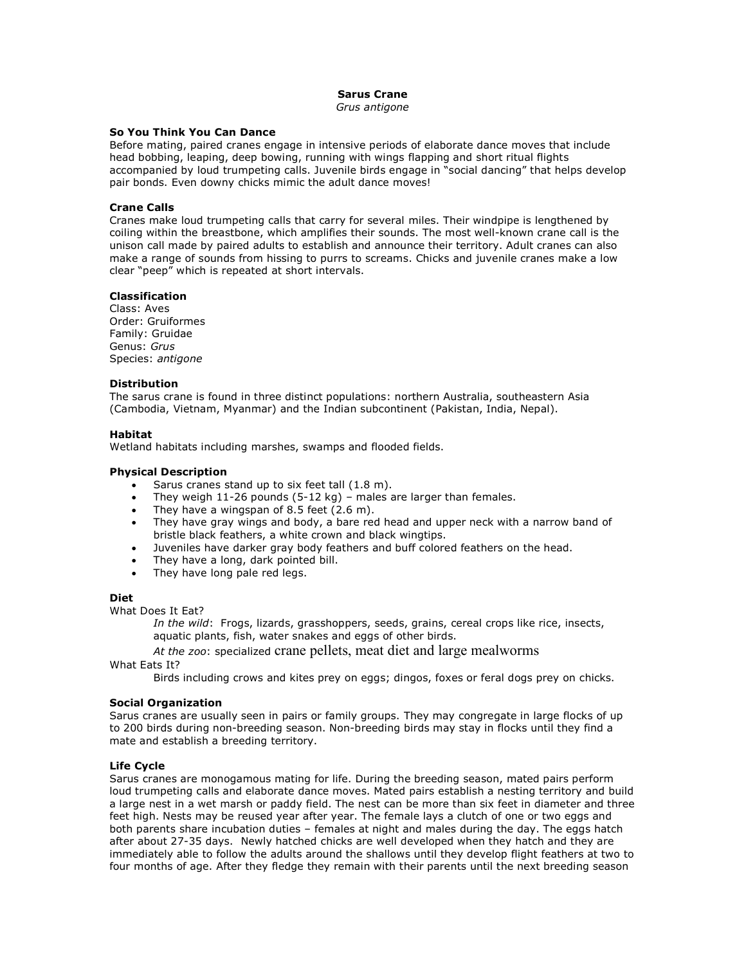#### **Sarus Crane** *Grus antigone*

# **So You Think You Can Dance**

Before mating, paired cranes engage in intensive periods of elaborate dance moves that include head bobbing, leaping, deep bowing, running with wings flapping and short ritual flights accompanied by loud trumpeting calls. Juvenile birds engage in "social dancing" that helps develop pair bonds. Even downy chicks mimic the adult dance moves!

### **Crane Calls**

Cranes make loud trumpeting calls that carry for several miles. Their windpipe is lengthened by coiling within the breastbone, which amplifies their sounds. The most well-known crane call is the unison call made by paired adults to establish and announce their territory. Adult cranes can also make a range of sounds from hissing to purrs to screams. Chicks and juvenile cranes make a low clear "peep" which is repeated at short intervals.

# **Classification**

Class: Aves Order: Gruiformes Family: Gruidae Genus: *Grus* Species: *antigone*

# **Distribution**

The sarus crane is found in three distinct populations: northern Australia, southeastern Asia (Cambodia, Vietnam, Myanmar) and the Indian subcontinent (Pakistan, India, Nepal).

### **Habitat**

Wetland habitats including marshes, swamps and flooded fields.

# **Physical Description**

- Sarus cranes stand up to six feet tall (1.8 m).
- They weigh  $11-26$  pounds (5-12 kg) males are larger than females.
- They have a wingspan of 8.5 feet (2.6 m).
- They have gray wings and body, a bare red head and upper neck with a narrow band of bristle black feathers, a white crown and black wingtips.
- Juveniles have darker gray body feathers and buff colored feathers on the head.
- They have a long, dark pointed bill.
- They have long pale red legs.

### **Diet**

What Does It Eat?

*In the wild*: Frogs, lizards, grasshoppers, seeds, grains, cereal crops like rice, insects, aquatic plants, fish, water snakes and eggs of other birds.

*At the zoo*: specialized crane pellets, meat diet and large mealworms

What Eats It?

Birds including crows and kites prey on eggs; dingos, foxes or feral dogs prey on chicks.

### **Social Organization**

Sarus cranes are usually seen in pairs or family groups. They may congregate in large flocks of up to 200 birds during non-breeding season. Non-breeding birds may stay in flocks until they find a mate and establish a breeding territory.

# **Life Cycle**

Sarus cranes are monogamous mating for life. During the breeding season, mated pairs perform loud trumpeting calls and elaborate dance moves. Mated pairs establish a nesting territory and build a large nest in a wet marsh or paddy field. The nest can be more than six feet in diameter and three feet high. Nests may be reused year after year. The female lays a clutch of one or two eggs and both parents share incubation duties – females at night and males during the day. The eggs hatch after about 27-35 days. Newly hatched chicks are well developed when they hatch and they are immediately able to follow the adults around the shallows until they develop flight feathers at two to four months of age. After they fledge they remain with their parents until the next breeding season